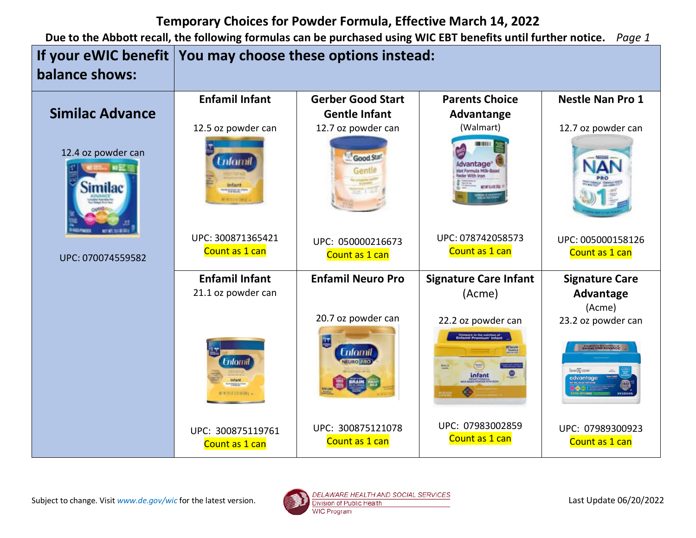|                               | If your eWIC benefit   You may choose these options instead: |                                     |                                                                                                       |                                                                                 |
|-------------------------------|--------------------------------------------------------------|-------------------------------------|-------------------------------------------------------------------------------------------------------|---------------------------------------------------------------------------------|
| balance shows:                |                                                              |                                     |                                                                                                       |                                                                                 |
|                               | <b>Enfamil Infant</b>                                        | <b>Gerber Good Start</b>            | <b>Parents Choice</b>                                                                                 | <b>Nestle Nan Pro 1</b>                                                         |
| <b>Similac Advance</b>        |                                                              | <b>Gentle Infant</b>                | Advantange                                                                                            |                                                                                 |
|                               | 12.5 oz powder can                                           | 12.7 oz powder can                  | (Walmart)                                                                                             | 12.7 oz powder can                                                              |
| 12.4 oz powder can<br>Similac | tnfamil<br><b>Party Street, Britain</b>                      | Good Start                          | Advantage <sup>®</sup><br>wder With Iron<br>NET MT 12.4 ST/SRS                                        | Nilitia                                                                         |
|                               | UPC: 300871365421                                            | UPC: 050000216673                   | UPC: 078742058573                                                                                     | UPC: 005000158126                                                               |
| UPC: 070074559582             | Count as 1 can                                               | Count as 1 can                      | Count as 1 can                                                                                        | Count as 1 can                                                                  |
|                               | <b>Enfamil Infant</b>                                        | <b>Enfamil Neuro Pro</b>            | <b>Signature Care Infant</b>                                                                          | <b>Signature Care</b>                                                           |
|                               | 21.1 oz powder can                                           |                                     | (Acme)                                                                                                | Advantage<br>(Acme)                                                             |
|                               |                                                              | 20.7 oz powder can                  | 22.2 oz powder can                                                                                    | 23.2 oz powder can                                                              |
|                               | <b>Enforni</b><br>nfant<br><b>SAMILE</b>                     | <b>Enfomil</b>                      | <b>Compare to the nutrition of</b><br>Enfamil Premium <sup>-</sup> Infant<br><b>FESEDOR</b><br>infant | Compare to the nutrition of<br>Similac PRO-ADVANCE<br>love & care-<br>advantage |
|                               | UPC: 300875119761<br>Count as 1 can                          | UPC: 300875121078<br>Count as 1 can | UPC: 07983002859<br>Count as 1 can                                                                    | UPC: 07989300923<br>Count as 1 can                                              |

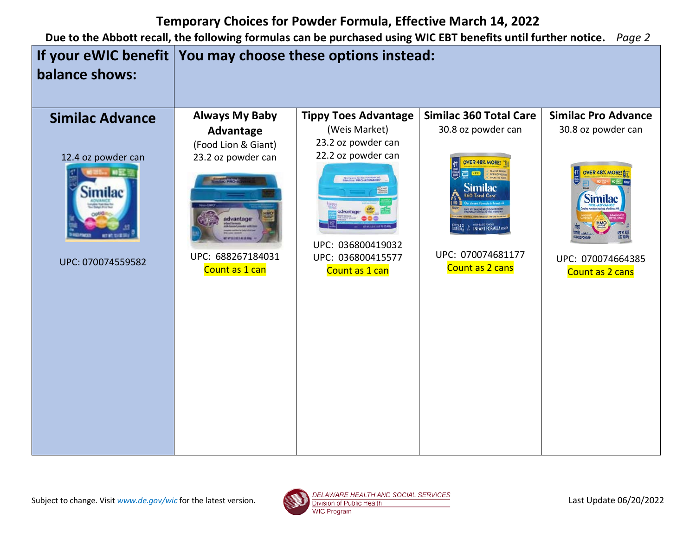

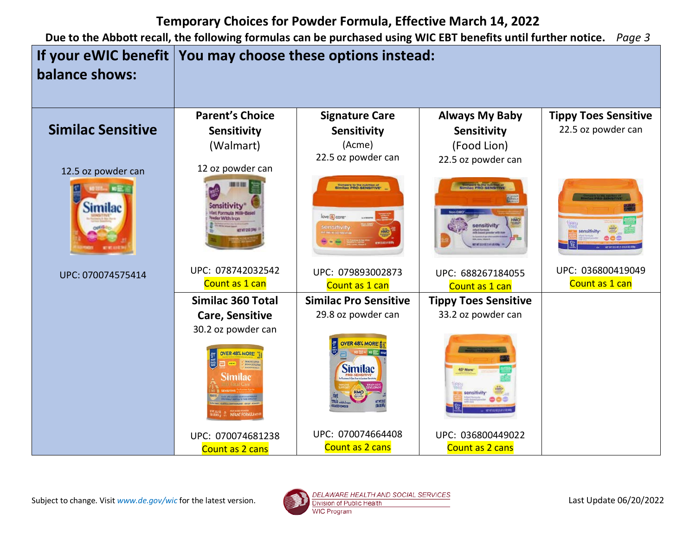

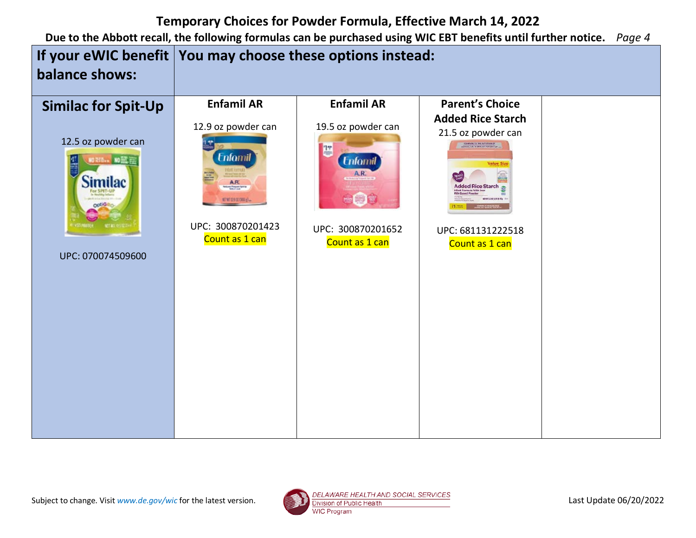

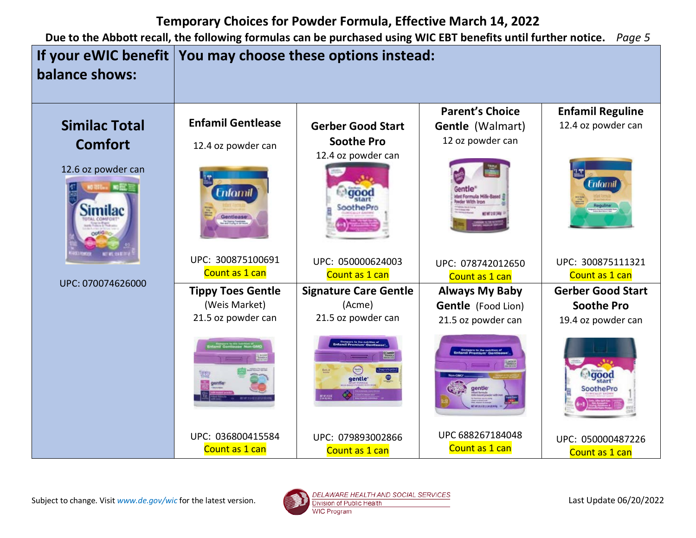

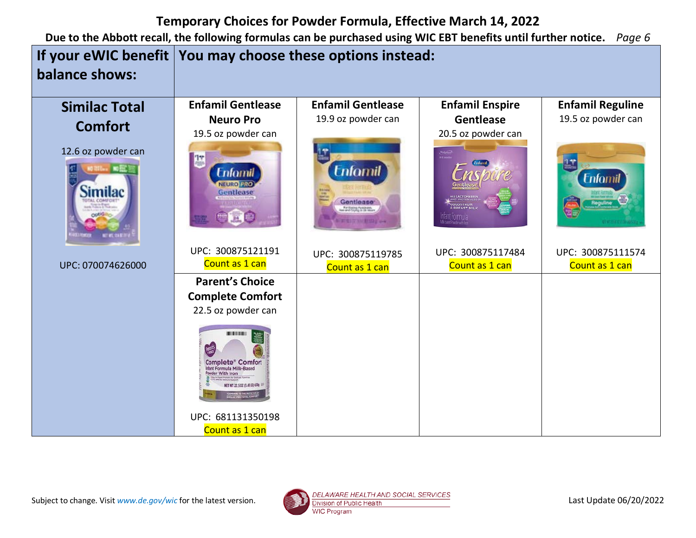| If your eWIC benefit   You may choose these options instead:<br>balance shows: |                                                                                                                                                                                                                                                            |                                                                                                                                      |                                                                  |                                                                 |
|--------------------------------------------------------------------------------|------------------------------------------------------------------------------------------------------------------------------------------------------------------------------------------------------------------------------------------------------------|--------------------------------------------------------------------------------------------------------------------------------------|------------------------------------------------------------------|-----------------------------------------------------------------|
| <b>Similac Total</b><br><b>Comfort</b><br>12.6 oz powder can                   | <b>Enfamil Gentlease</b><br><b>Neuro Pro</b><br>19.5 oz powder can<br>Enfornil<br><b>JEURO PRO</b><br>Gentlease                                                                                                                                            | <b>Enfamil Gentlease</b><br>19.9 oz powder can<br><b>Enfornil</b><br>Gentiease <sup>®</sup><br>Ar Entrancement<br><b>NETWORKSHIP</b> | <b>Enfamil Enspire</b><br><b>Gentlease</b><br>20.5 oz powder can | <b>Enfamil Reguline</b><br>19.5 oz powder can<br><b>Enfomil</b> |
| UPC: 070074626000                                                              | UPC: 300875121191<br>Count as 1 can<br><b>Parent's Choice</b><br><b>Complete Comfort</b><br>22.5 oz powder can<br><b>Complete* Comfort</b><br>tant Formula Milk-Based<br>wder With Iron<br>WT 22.5 02 (1.41 LB) 674<br>UPC: 681131350198<br>Count as 1 can | UPC: 300875119785<br>Count as 1 can                                                                                                  | UPC: 300875117484<br>Count as 1 can                              | UPC: 300875111574<br>Count as 1 can                             |

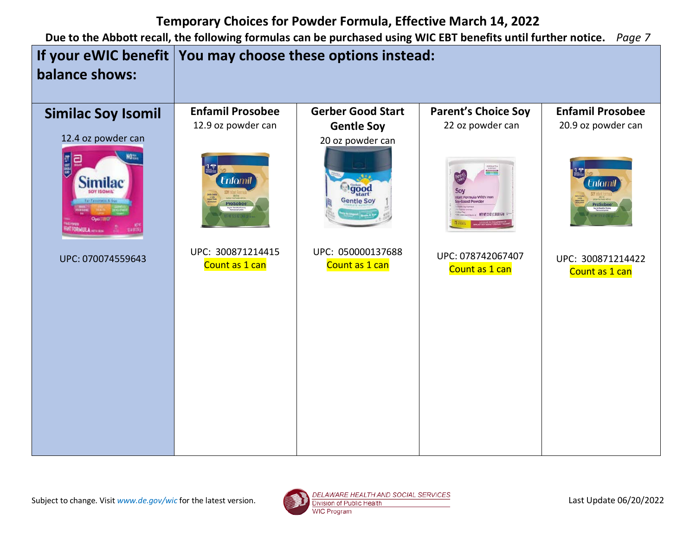

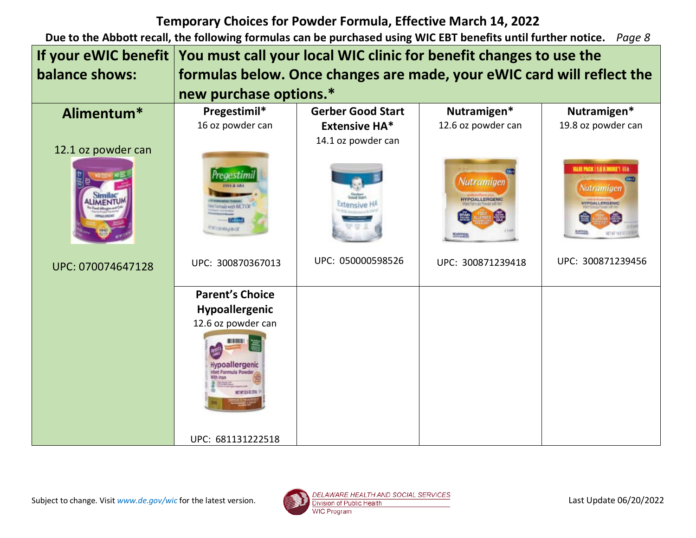| If your eWIC benefit | You must call your local WIC clinic for benefit changes to use the     |                          |                                                   |                                                                                            |
|----------------------|------------------------------------------------------------------------|--------------------------|---------------------------------------------------|--------------------------------------------------------------------------------------------|
| balance shows:       | formulas below. Once changes are made, your eWIC card will reflect the |                          |                                                   |                                                                                            |
|                      | new purchase options.*                                                 |                          |                                                   |                                                                                            |
| Alimentum*           | Pregestimil*                                                           | <b>Gerber Good Start</b> | Nutramigen*                                       | Nutramigen*                                                                                |
|                      | 16 oz powder can                                                       | <b>Extensive HA*</b>     | 12.6 oz powder can                                | 19.8 oz powder can                                                                         |
| 12.1 oz powder can   |                                                                        | 14.1 oz powder can       |                                                   |                                                                                            |
|                      |                                                                        |                          |                                                   |                                                                                            |
|                      | edestimi<br>reads with MCTOK<br><b>MILLIGANIE CH</b>                   |                          | Nutramigen<br><b>HYPOALLERGENIC</b><br>MOARTHEICH | <b>WALDE PACK   1.6 X MORE ! 356</b><br>Nutramigen<br><b>HYPOALLERGENIC</b><br>æ<br>細室 经提供 |
| UPC: 070074647128    | UPC: 300870367013                                                      | UPC: 050000598526        | UPC: 300871239418                                 | UPC: 300871239456                                                                          |
|                      | <b>Parent's Choice</b>                                                 |                          |                                                   |                                                                                            |
|                      | Hypoallergenic                                                         |                          |                                                   |                                                                                            |
|                      | 12.6 oz powder can                                                     |                          |                                                   |                                                                                            |
|                      | Hypoallergenic<br>that Formula Powd                                    |                          |                                                   |                                                                                            |
|                      | UPC: 681131222518                                                      |                          |                                                   |                                                                                            |

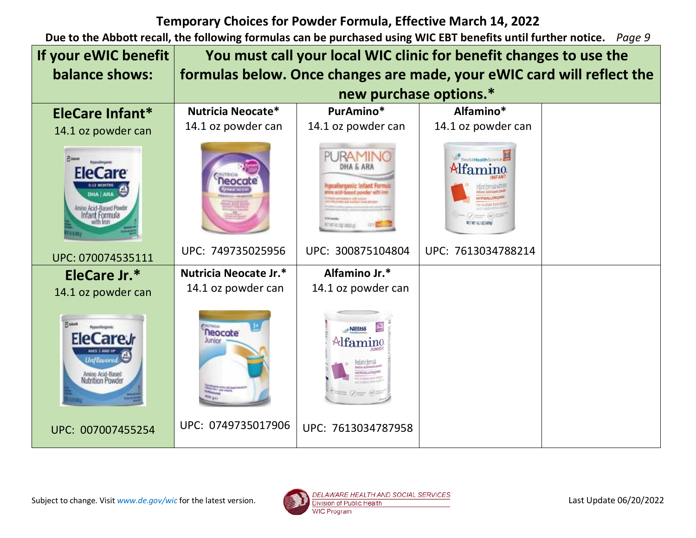| If your eWIC benefit                                                                                                            | You must call your local WIC clinic for benefit changes to use the     |                                                                                             |                                 |  |
|---------------------------------------------------------------------------------------------------------------------------------|------------------------------------------------------------------------|---------------------------------------------------------------------------------------------|---------------------------------|--|
| balance shows:                                                                                                                  | formulas below. Once changes are made, your eWIC card will reflect the |                                                                                             |                                 |  |
|                                                                                                                                 | new purchase options.*                                                 |                                                                                             |                                 |  |
| EleCare Infant*                                                                                                                 | Nutricia Neocate*                                                      | PurAmino*                                                                                   | Alfamino*                       |  |
| 14.1 oz powder can                                                                                                              | 14.1 oz powder can                                                     | 14.1 oz powder can                                                                          | 14.1 oz powder can              |  |
| <b>Pissott</b><br>texcelerence<br><b>EleCare</b><br>DHA ARA<br>Anino Acid-Based Powder<br>Infant Formula                        |                                                                        | PURAMII<br>DHA & ARJ<br><b>ATISTICIAL HODAY</b>                                             | NestleHealthScience<br>Alfamino |  |
| UPC: 070074535111                                                                                                               | UPC: 749735025956                                                      | UPC: 300875104804                                                                           | UPC: 7613034788214              |  |
| EleCare Jr.*                                                                                                                    | Nutricia Neocate Jr.*                                                  | Alfamino Jr.*                                                                               |                                 |  |
| 14.1 oz powder can                                                                                                              | 14.1 oz powder can                                                     | 14.1 oz powder can                                                                          |                                 |  |
| <b>Fund</b><br><b>Hypoxilergenic</b><br>EleCareJr<br>AGES 1 AND UP<br><b>Unflavored</b><br>Amino Acid-Based<br>Nutrition Powder | <b>Neocate</b><br>Junior                                               | ·Nestle<br>$\mathcal{A}$ famino<br><b>IYPOALLERGENIC</b><br><b>Things (J)</b> Suntany (NCT) |                                 |  |
| UPC: 007007455254                                                                                                               | UPC: 0749735017906                                                     | UPC: 7613034787958                                                                          |                                 |  |